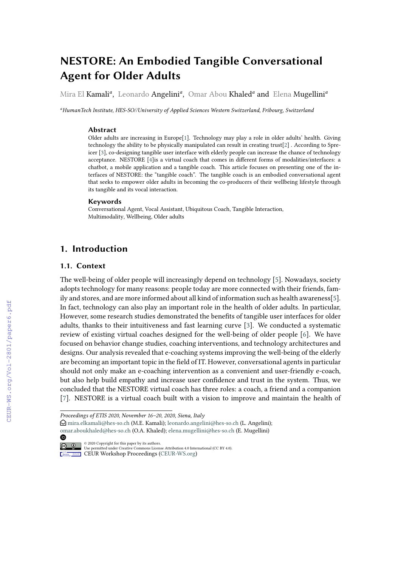# **NESTORE: An Embodied Tangible Conversational Agent for Older Adults**

Mira El Kamali<sup>a</sup>, Leonardo Angelini<sup>a</sup>, Omar Abou Khaled<sup>a</sup> and Elena Mugellini<sup>a</sup>

*<sup>a</sup>HumanTech Institute, HES-SO//University of Applied Sciences Western Switzerland, Fribourg, Switzerland*

#### **Abstract**

Older adults are increasing in Europe[\[1\]](#page--1-0). Technology may play a role in older adults' health. Giving technology the ability to be physically manipulated can result in creating trust[\[2\]](#page--1-1) . According to Spreicer [\[3\]](#page--1-2), co-designing tangible user interface with elderly people can increase the chance of technology acceptance. NESTORE [\[4\]](#page--1-3)is a virtual coach that comes in different forms of modalities/interfaces: a chatbot, a mobile application and a tangible coach. This article focuses on presenting one of the interfaces of NESTORE: the "tangible coach". The tangible coach is an embodied conversational agent that seeks to empower older adults in becoming the co-producers of their wellbeing lifestyle through its tangible and its vocal interaction.

#### **Keywords**

Conversational Agent, Vocal Assistant, Ubiquitous Coach, Tangible Interaction, Multimodality, Wellbeing, Older adults

### **1. Introduction**

#### **1.1. Context**

The well-being of older people will increasingly depend on technology [\[5\]](#page--1-4). Nowadays, society adopts technology for many reasons: people today are more connected with their friends, family and stores, and are more informed about all kind of information such as health awareness[\[5\]](#page--1-4). In fact, technology can also play an important role in the health of older adults. In particular, However, some research studies demonstrated the benefits of tangible user interfaces for older adults, thanks to their intuitiveness and fast learning curve [\[3\]](#page--1-2). We conducted a systematic review of existing virtual coaches designed for the well-being of older people [\[6\]](#page--1-5). We have focused on behavior change studies, coaching interventions, and technology architectures and designs. Our analysis revealed that e-coaching systems improving the well-being of the elderly are becoming an important topic in the field of IT. However, conversational agents in particular should not only make an e-coaching intervention as a convenient and user-friendly e-coach, but also help build empathy and increase user confidence and trust in the system. Thus, we concluded that the NESTORE virtual coach has three roles: a coach, a friend and a companion [\[7\]](#page--1-6). NESTORE is a virtual coach built with a vision to improve and maintain the health of

◍

*Proceedings of ETIS 2020, November 16–20, 2020, Siena, Italy*

 $\Theta$  [mira.elkamali@hes-so.ch](mailto:mira.elkamali@hes-so.ch) (M.E. Kamali); [leonardo.angelini@hes-so.ch](mailto:leonardo.angelini@hes-so.ch) (L. Angelini); [omar.aboukhaled@hes-so.ch](mailto:omar.aboukhaled@hes-so.ch) (O.A. Khaled); [elena.mugellini@hes-so.ch](mailto:elena.mugellini@hes-so.ch) (E. Mugellini)

<sup>©</sup> 2020 Copyright for this paper by its authors. Use permitted under Creative Commons License Attribution 4.0 International (CC BY 4.0).

**CEUR Workshop [Proceedings](http://ceur-ws.org) [\(CEUR-WS.org\)](http://ceur-ws.org)**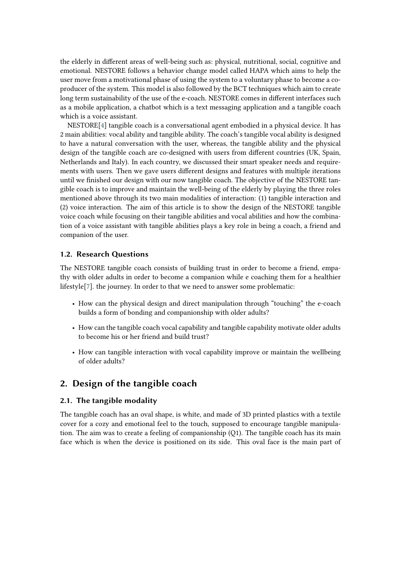the elderly in different areas of well-being such as: physical, nutritional, social, cognitive and emotional. NESTORE follows a behavior change model called HAPA which aims to help the user move from a motivational phase of using the system to a voluntary phase to become a coproducer of the system. This model is also followed by the BCT techniques which aim to create long term sustainability of the use of the e-coach. NESTORE comes in different interfaces such as a mobile application, a chatbot which is a text messaging application and a tangible coach which is a voice assistant.

NESTORE[\[4\]](#page-4-0) tangible coach is a conversational agent embodied in a physical device. It has 2 main abilities: vocal ability and tangible ability. The coach's tangible vocal ability is designed to have a natural conversation with the user, whereas, the tangible ability and the physical design of the tangible coach are co-designed with users from different countries (UK, Spain, Netherlands and Italy). In each country, we discussed their smart speaker needs and requirements with users. Then we gave users different designs and features with multiple iterations until we finished our design with our now tangible coach. The objective of the NESTORE tangible coach is to improve and maintain the well-being of the elderly by playing the three roles mentioned above through its two main modalities of interaction: (1) tangible interaction and (2) voice interaction. The aim of this article is to show the design of the NESTORE tangible voice coach while focusing on their tangible abilities and vocal abilities and how the combination of a voice assistant with tangible abilities plays a key role in being a coach, a friend and companion of the user.

#### **1.2. Research Questions**

The NESTORE tangible coach consists of building trust in order to become a friend, empathy with older adults in order to become a companion while e coaching them for a healthier lifestyle[\[7\]](#page-5-0). the journey. In order to that we need to answer some problematic:

- How can the physical design and direct manipulation through "touching" the e-coach builds a form of bonding and companionship with older adults?
- How can the tangible coach vocal capability and tangible capability motivate older adults to become his or her friend and build trust?
- How can tangible interaction with vocal capability improve or maintain the wellbeing of older adults?

### **2. Design of the tangible coach**

#### **2.1. The tangible modality**

The tangible coach has an oval shape, is white, and made of 3D printed plastics with a textile cover for a cozy and emotional feel to the touch, supposed to encourage tangible manipulation. The aim was to create a feeling of companionship (Q1). The tangible coach has its main face which is when the device is positioned on its side. This oval face is the main part of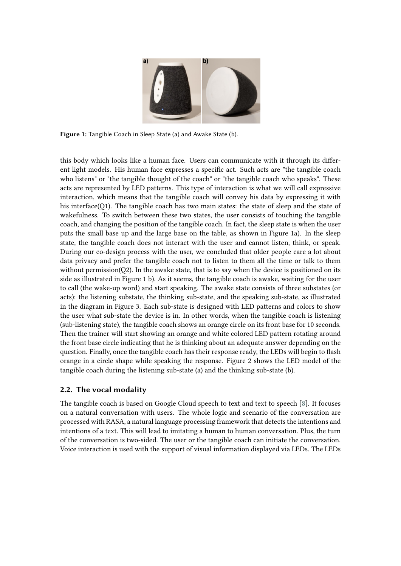

**Figure 1:** Tangible Coach in Sleep State (a) and Awake State (b).

this body which looks like a human face. Users can communicate with it through its different light models. His human face expresses a specific act. Such acts are "the tangible coach who listens" or "the tangible thought of the coach" or "the tangible coach who speaks". These acts are represented by LED patterns. This type of interaction is what we will call expressive interaction, which means that the tangible coach will convey his data by expressing it with his interface(Q1). The tangible coach has two main states: the state of sleep and the state of wakefulness. To switch between these two states, the user consists of touching the tangible coach, and changing the position of the tangible coach. In fact, the sleep state is when the user puts the small base up and the large base on the table, as shown in Figure 1a). In the sleep state, the tangible coach does not interact with the user and cannot listen, think, or speak. During our co-design process with the user, we concluded that older people care a lot about data privacy and prefer the tangible coach not to listen to them all the time or talk to them without permission(Q2). In the awake state, that is to say when the device is positioned on its side as illustrated in Figure 1 b). As it seems, the tangible coach is awake, waiting for the user to call (the wake-up word) and start speaking. The awake state consists of three substates (or acts): the listening substate, the thinking sub-state, and the speaking sub-state, as illustrated in the diagram in Figure 3. Each sub-state is designed with LED patterns and colors to show the user what sub-state the device is in. In other words, when the tangible coach is listening (sub-listening state), the tangible coach shows an orange circle on its front base for 10 seconds. Then the trainer will start showing an orange and white colored LED pattern rotating around the front base circle indicating that he is thinking about an adequate answer depending on the question. Finally, once the tangible coach has their response ready, the LEDs will begin to flash orange in a circle shape while speaking the response. Figure 2 shows the LED model of the tangible coach during the listening sub-state (a) and the thinking sub-state (b).

#### **2.2. The vocal modality**

The tangible coach is based on Google Cloud speech to text and text to speech [\[8\]](#page-5-1). It focuses on a natural conversation with users. The whole logic and scenario of the conversation are processed with RASA, a natural language processing framework that detects the intentions and intentions of a text. This will lead to imitating a human to human conversation. Plus, the turn of the conversation is two-sided. The user or the tangible coach can initiate the conversation. Voice interaction is used with the support of visual information displayed via LEDs. The LEDs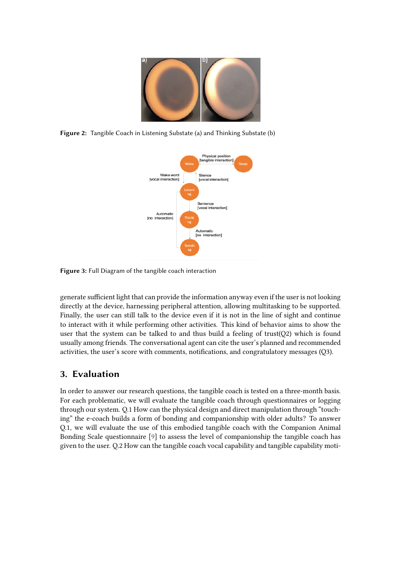

**Figure 2:** Tangible Coach in Listening Substate (a) and Thinking Substate (b)



**Figure 3:** Full Diagram of the tangible coach interaction

generate sufficient light that can provide the information anyway even if the user is not looking directly at the device, harnessing peripheral attention, allowing multitasking to be supported. Finally, the user can still talk to the device even if it is not in the line of sight and continue to interact with it while performing other activities. This kind of behavior aims to show the user that the system can be talked to and thus build a feeling of trust( $Q2$ ) which is found usually among friends. The conversational agent can cite the user's planned and recommended activities, the user's score with comments, notifications, and congratulatory messages (Q3).

## **3. Evaluation**

In order to answer our research questions, the tangible coach is tested on a three-month basis. For each problematic, we will evaluate the tangible coach through questionnaires or logging through our system. Q.1 How can the physical design and direct manipulation through "touching" the e-coach builds a form of bonding and companionship with older adults? To answer Q.1, we will evaluate the use of this embodied tangible coach with the Companion Animal Bonding Scale questionnaire [\[9\]](#page-5-2) to assess the level of companionship the tangible coach has given to the user. Q.2 How can the tangible coach vocal capability and tangible capability moti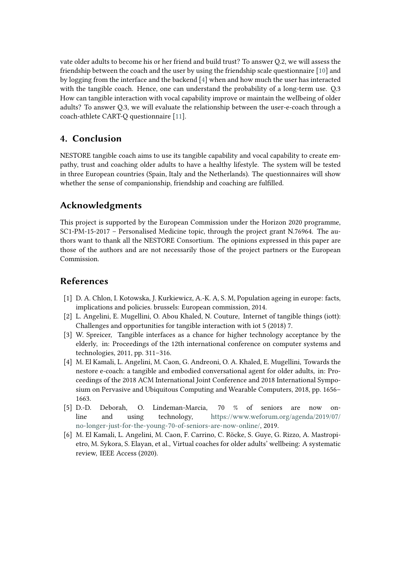vate older adults to become his or her friend and build trust? To answer Q.2, we will assess the friendship between the coach and the user by using the friendship scale questionnaire [\[10\]](#page-5-3) and by logging from the interface and the backend [\[4\]](#page-4-0) when and how much the user has interacted with the tangible coach. Hence, one can understand the probability of a long-term use. Q.3 How can tangible interaction with vocal capability improve or maintain the wellbeing of older adults? To answer Q.3, we will evaluate the relationship between the user-e-coach through a coach-athlete CART-Q questionnaire [\[11\]](#page-5-4).

### **4. Conclusion**

NESTORE tangible coach aims to use its tangible capability and vocal capability to create empathy, trust and coaching older adults to have a healthy lifestyle. The system will be tested in three European countries (Spain, Italy and the Netherlands). The questionnaires will show whether the sense of companionship, friendship and coaching are fulfilled.

# **Acknowledgments**

This project is supported by the European Commission under the Horizon 2020 programme, SC1-PM-15-2017 – Personalised Medicine topic, through the project grant N.76964. The authors want to thank all the NESTORE Consortium. The opinions expressed in this paper are those of the authors and are not necessarily those of the project partners or the European Commission.

### **References**

- [1] D. A. Chlon, I. Kotowska, J. Kurkiewicz, A.-K. A, S. M, Population ageing in europe: facts, implications and policies. brussels: European commission, 2014.
- [2] L. Angelini, E. Mugellini, O. Abou Khaled, N. Couture, Internet of tangible things (iott): Challenges and opportunities for tangible interaction with iot 5 (2018) 7.
- [3] W. Spreicer, Tangible interfaces as a chance for higher technology acceptance by the elderly, in: Proceedings of the 12th international conference on computer systems and technologies, 2011, pp. 311–316.
- <span id="page-4-0"></span>[4] M. El Kamali, L. Angelini, M. Caon, G. Andreoni, O. A. Khaled, E. Mugellini, Towards the nestore e-coach: a tangible and embodied conversational agent for older adults, in: Proceedings of the 2018 ACM International Joint Conference and 2018 International Symposium on Pervasive and Ubiquitous Computing and Wearable Computers, 2018, pp. 1656– 1663.
- [5] D.-D. Deborah, O. Lindeman-Marcia, 70 % of seniors are now online and using technology, [https://www.weforum.org/agenda/2019/07/](https://www.weforum.org/agenda/2019/07/no-longer-just-for-the-young-70-of-seniors-are-now-online/) [no-longer-just-for-the-young-70-of-seniors-are-now-online/,](https://www.weforum.org/agenda/2019/07/no-longer-just-for-the-young-70-of-seniors-are-now-online/) 2019.
- [6] M. El Kamali, L. Angelini, M. Caon, F. Carrino, C. Röcke, S. Guye, G. Rizzo, A. Mastropietro, M. Sykora, S. Elayan, et al., Virtual coaches for older adults' wellbeing: A systematic review, IEEE Access (2020).